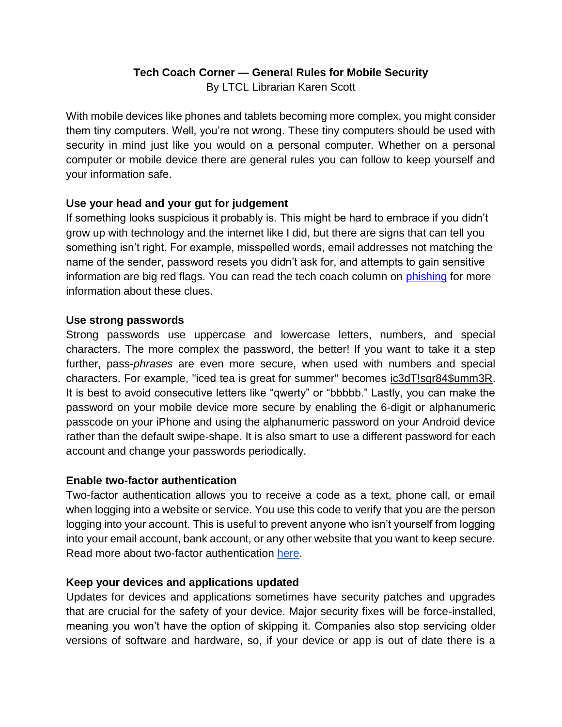# **Tech Coach Corner — General Rules for Mobile Security**

By LTCL Librarian Karen Scott

With mobile devices like phones and tablets becoming more complex, you might consider them tiny computers. Well, you're not wrong. These tiny computers should be used with security in mind just like you would on a personal computer. Whether on a personal computer or mobile device there are general rules you can follow to keep yourself and your information safe.

## **Use your head and your gut for judgement**

If something looks suspicious it probably is. This might be hard to embrace if you didn't grow up with technology and the internet like I did, but there are signs that can tell you something isn't right. For example, misspelled words, email addresses not matching the name of the sender, password resets you didn't ask for, and attempts to gain sensitive information are big red flags. You can read the tech coach column on [phishing](https://t.e2ma.net/click/8ap71f/g9ooslc/wdbhqy) for more information about these clues.

## **Use strong passwords**

Strong passwords use uppercase and lowercase letters, numbers, and special characters. The more complex the password, the better! If you want to take it a step further, pass-*phrases* are even more secure, when used with numbers and special characters. For example, "iced tea is great for summer" becomes ic3dT!sgr84\$umm3R. It is best to avoid consecutive letters like "qwerty" or "bbbbb." Lastly, you can make the password on your mobile device more secure by enabling the 6-digit or alphanumeric passcode on your iPhone and using the alphanumeric password on your Android device rather than the default swipe-shape. It is also smart to use a different password for each account and change your passwords periodically.

## **Enable two-factor authentication**

Two-factor authentication allows you to receive a code as a text, phone call, or email when logging into a website or service. You use this code to verify that you are the person logging into your account. This is useful to prevent anyone who isn't yourself from logging into your email account, bank account, or any other website that you want to keep secure. Read more about two-factor authentication [here.](https://heimdalsecurity.com/blog/start-using-two-factor-authentication/)

## **Keep your devices and applications updated**

Updates for devices and applications sometimes have security patches and upgrades that are crucial for the safety of your device. Major security fixes will be force-installed, meaning you won't have the option of skipping it. Companies also stop servicing older versions of software and hardware, so, if your device or app is out of date there is a